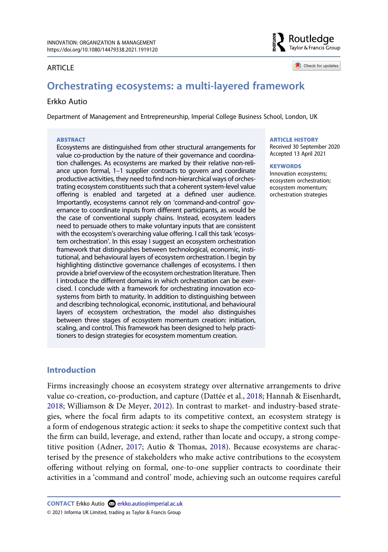#### ARTICLE

Routledge Taylor & Francis Group

Check for updates

# **Orchestrating ecosystems: a multi-layered framework**

#### Erkko Autio

Department of Management and Entrepreneurship, Imperial College Business School, London, UK

#### **ABSTRACT**

Ecosystems are distinguished from other structural arrangements for value co-production by the nature of their governance and coordination challenges. As ecosystems are marked by their relative non-reliance upon formal, 1–1 supplier contracts to govern and coordinate productive activities, they need to find non-hierarchical ways of orchestrating ecosystem constituents such that a coherent system-level value offering is enabled and targeted at a defined user audience. Importantly, ecosystems cannot rely on 'command-and-control' governance to coordinate inputs from different participants, as would be the case of conventional supply chains. Instead, ecosystem leaders need to persuade others to make voluntary inputs that are consistent with the ecosystem's overarching value offering. I call this task 'ecosystem orchestration'. In this essay I suggest an ecosystem orchestration framework that distinguishes between technological, economic, institutional, and behavioural layers of ecosystem orchestration. I begin by highlighting distinctive governance challenges of ecosystems. I then provide a brief overview of the ecosystem orchestration literature. Then I introduce the different domains in which orchestration can be exercised. I conclude with a framework for orchestrating innovation ecosystems from birth to maturity. In addition to distinguishing between and describing technological, economic, institutional, and behavioural layers of ecosystem orchestration, the model also distinguishes between three stages of ecosystem momentum creation: initiation, scaling, and control. This framework has been designed to help practitioners to design strategies for ecosystem momentum creation.

#### **ARTICLE HISTORY**

Received 30 September 2020 Accepted 13 April 2021

#### **KEYWORDS**

Innovation ecosystems; ecosystem orchestration; ecosystem momentum; orchestration strategies

### **Introduction**

<span id="page-0-2"></span><span id="page-0-1"></span><span id="page-0-0"></span>Firms increasingly choose an ecosystem strategy over alternative arrangements to drive value co-creation, co-production, and capture (Dattée et al., [2018;](#page-12-0) Hannah & Eisenhardt, [2018](#page-12-1); Williamson & De Meyer, [2012](#page-13-0)). In contrast to market- and industry-based strategies, where the focal firm adapts to its competitive context, an ecosystem strategy is a form of endogenous strategic action: it seeks to shape the competitive context such that the firm can build, leverage, and extend, rather than locate and occupy, a strong competitive position (Adner, [2017;](#page-12-2) Autio & Thomas, [2018](#page-12-3)). Because ecosystems are characterised by the presence of stakeholders who make active contributions to the ecosystem offering without relying on formal, one-to-one supplier contracts to coordinate their activities in a 'command and control' mode, achieving such an outcome requires careful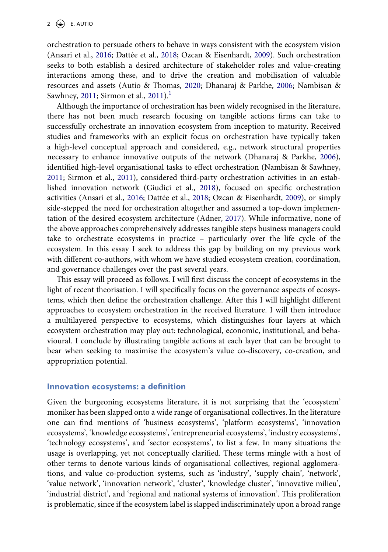orchestration to persuade others to behave in ways consistent with the ecosystem vision (Ansari et al., [2016;](#page-12-4) Dattée et al., [2018;](#page-12-0) Ozcan & Eisenhardt, [2009](#page-13-1)). Such orchestration seeks to both establish a desired architecture of stakeholder roles and value-creating interactions among these, and to drive the creation and mobilisation of valuable resources and assets (Autio & Thomas, [2020](#page-12-5); Dhanaraj & Parkhe, [2006](#page-12-6); Nambisan & Sawhney, [2011;](#page-12-7) Sirmon et al., [2011](#page-13-2)).<sup>[1](#page-11-0)</sup>

<span id="page-1-5"></span><span id="page-1-4"></span><span id="page-1-3"></span><span id="page-1-2"></span><span id="page-1-1"></span>Although the importance of orchestration has been widely recognised in the literature, there has not been much research focusing on tangible actions firms can take to successfully orchestrate an innovation ecosystem from inception to maturity. Received studies and frameworks with an explicit focus on orchestration have typically taken a high-level conceptual approach and considered, e.g., network structural properties necessary to enhance innovative outputs of the network (Dhanaraj & Parkhe, [2006](#page-12-6)), identified high-level organisational tasks to effect orchestration (Nambisan & Sawhney, [2011](#page-12-7); Sirmon et al., [2011](#page-13-2)), considered third-party orchestration activities in an established innovation network (Giudici et al., [2018](#page-12-8)), focused on specific orchestration activities (Ansari et al., [2016;](#page-12-4) Dattée et al., [2018;](#page-12-0) Ozcan & Eisenhardt, [2009](#page-13-1)), or simply side-stepped the need for orchestration altogether and assumed a top-down implementation of the desired ecosystem architecture (Adner, [2017\)](#page-12-2). While informative, none of the above approaches comprehensively addresses tangible steps business managers could take to orchestrate ecosystems in practice – particularly over the life cycle of the ecosystem. In this essay I seek to address this gap by building on my previous work with different co-authors, with whom we have studied ecosystem creation, coordination, and governance challenges over the past several years.

<span id="page-1-0"></span>This essay will proceed as follows. I will first discuss the concept of ecosystems in the light of recent theorisation. I will specifically focus on the governance aspects of ecosystems, which then define the orchestration challenge. After this I will highlight different approaches to ecosystem orchestration in the received literature. I will then introduce a multilayered perspective to ecosystems, which distinguishes four layers at which ecosystem orchestration may play out: technological, economic, institutional, and behavioural. I conclude by illustrating tangible actions at each layer that can be brought to bear when seeking to maximise the ecosystem's value co-discovery, co-creation, and appropriation potential.

#### **Innovation ecosystems: a definition**

Given the burgeoning ecosystems literature, it is not surprising that the 'ecosystem' moniker has been slapped onto a wide range of organisational collectives. In the literature one can find mentions of 'business ecosystems', 'platform ecosystems', 'innovation ecosystems', 'knowledge ecosystems', 'entrepreneurial ecosystems', 'industry ecosystems', 'technology ecosystems', and 'sector ecosystems', to list a few. In many situations the usage is overlapping, yet not conceptually clarified. These terms mingle with a host of other terms to denote various kinds of organisational collectives, regional agglomerations, and value co-production systems, such as 'industry', 'supply chain', 'network', 'value network', 'innovation network', 'cluster', 'knowledge cluster', 'innovative milieu', 'industrial district', and 'regional and national systems of innovation'. This proliferation is problematic, since if the ecosystem label is slapped indiscriminately upon a broad range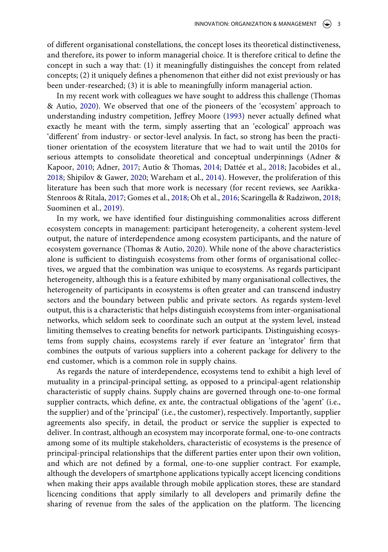of different organisational constellations, the concept loses its theoretical distinctiveness, and therefore, its power to inform managerial choice. It is therefore critical to define the concept in such a way that: (1) it meaningfully distinguishes the concept from related concepts; (2) it uniquely defines a phenomenon that either did not exist previously or has been under-researched; (3) it is able to meaningfully inform managerial action.

<span id="page-2-2"></span>In my recent work with colleagues we have sought to address this challenge (Thomas & Autio, [2020\)](#page-13-3). We observed that one of the pioneers of the 'ecosystem' approach to understanding industry competition, Jeffrey Moore [\(1993\)](#page-12-9) never actually defined what exactly he meant with the term, simply asserting that an 'ecological' approach was 'different' from industry- or sector-level analysis. In fact, so strong has been the practitioner orientation of the ecosystem literature that we had to wait until the 2010s for serious attempts to consolidate theoretical and conceptual underpinnings (Adner & Kapoor, [2010](#page-12-10); Adner, [2017;](#page-12-2) Autio & Thomas, [2014](#page-12-11); Dattée et al., [2018;](#page-12-0) Jacobides et al., [2018](#page-12-12); Shipilov & Gawer, [2020](#page-13-4); Wareham et al., [2014\)](#page-13-5). However, the proliferation of this literature has been such that more work is necessary (for recent reviews, see Aarikka-Stenroos & Ritala, [2017;](#page-12-13) Gomes et al., [2018;](#page-12-14) Oh et al., [2016](#page-13-6); Scaringella & Radziwon, [2018;](#page-13-7) Suominen et al., [2019\)](#page-13-8).

<span id="page-2-5"></span><span id="page-2-4"></span><span id="page-2-3"></span><span id="page-2-1"></span><span id="page-2-0"></span>In my work, we have identified four distinguishing commonalities across different ecosystem concepts in management: participant heterogeneity, a coherent system-level output, the nature of interdependence among ecosystem participants, and the nature of ecosystem governance (Thomas & Autio, [2020](#page-13-3)). While none of the above characteristics alone is sufficient to distinguish ecosystems from other forms of organisational collectives, we argued that the combination was unique to ecosystems. As regards participant heterogeneity, although this is a feature exhibited by many organisational collectives, the heterogeneity of participants in ecosystems is often greater and can transcend industry sectors and the boundary between public and private sectors. As regards system-level output, this is a characteristic that helps distinguish ecosystems from inter-organisational networks, which seldom seek to coordinate such an output at the system level, instead limiting themselves to creating benefits for network participants. Distinguishing ecosystems from supply chains, ecosystems rarely if ever feature an 'integrator' firm that combines the outputs of various suppliers into a coherent package for delivery to the end customer, which is a common role in supply chains.

As regards the nature of interdependence, ecosystems tend to exhibit a high level of mutuality in a principal-principal setting, as opposed to a principal-agent relationship characteristic of supply chains. Supply chains are governed through one-to-one formal supplier contracts, which define, ex ante, the contractual obligations of the 'agent' (i.e., the supplier) and of the 'principal' (i.e., the customer), respectively. Importantly, supplier agreements also specify, in detail, the product or service the supplier is expected to deliver. In contrast, although an ecosystem may incorporate formal, one-to-one contracts among some of its multiple stakeholders, characteristic of ecosystems is the presence of principal-principal relationships that the different parties enter upon their own volition, and which are not defined by a formal, one-to-one supplier contract. For example, although the developers of smartphone applications typically accept licencing conditions when making their apps available through mobile application stores, these are standard licencing conditions that apply similarly to all developers and primarily define the sharing of revenue from the sales of the application on the platform. The licencing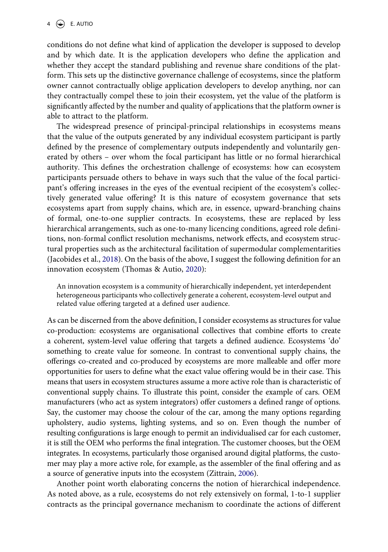conditions do not define what kind of application the developer is supposed to develop and by which date. It is the application developers who define the application and whether they accept the standard publishing and revenue share conditions of the platform. This sets up the distinctive governance challenge of ecosystems, since the platform owner cannot contractually oblige application developers to develop anything, nor can they contractually compel these to join their ecosystem, yet the value of the platform is significantly affected by the number and quality of applications that the platform owner is able to attract to the platform.

The widespread presence of principal-principal relationships in ecosystems means that the value of the outputs generated by any individual ecosystem participant is partly defined by the presence of complementary outputs independently and voluntarily generated by others – over whom the focal participant has little or no formal hierarchical authority. This defines the orchestration challenge of ecosystems: how can ecosystem participants persuade others to behave in ways such that the value of the focal participant's offering increases in the eyes of the eventual recipient of the ecosystem's collectively generated value offering? It is this nature of ecosystem governance that sets ecosystems apart from supply chains, which are, in essence, upward-branching chains of formal, one-to-one supplier contracts. In ecosystems, these are replaced by less hierarchical arrangements, such as one-to-many licencing conditions, agreed role definitions, non-formal conflict resolution mechanisms, network effects, and ecosystem structural properties such as the architectural facilitation of supermodular complementarities (Jacobides et al., [2018](#page-12-12)). On the basis of the above, I suggest the following definition for an innovation ecosystem (Thomas & Autio, [2020](#page-13-3)):

An innovation ecosystem is a community of hierarchically independent, yet interdependent heterogeneous participants who collectively generate a coherent, ecosystem-level output and related value offering targeted at a defined user audience.

As can be discerned from the above definition, I consider ecosystems as structures for value co-production: ecosystems are organisational collectives that combine efforts to create a coherent, system-level value offering that targets a defined audience. Ecosystems 'do' something to create value for someone. In contrast to conventional supply chains, the offerings co-created and co-produced by ecosystems are more malleable and offer more opportunities for users to define what the exact value offering would be in their case. This means that users in ecosystem structures assume a more active role than is characteristic of conventional supply chains. To illustrate this point, consider the example of cars. OEM manufacturers (who act as system integrators) offer customers a defined range of options. Say, the customer may choose the colour of the car, among the many options regarding upholstery, audio systems, lighting systems, and so on. Even though the number of resulting configurations is large enough to permit an individualised car for each customer, it is still the OEM who performs the final integration. The customer chooses, but the OEM integrates. In ecosystems, particularly those organised around digital platforms, the customer may play a more active role, for example, as the assembler of the final offering and as a source of generative inputs into the ecosystem (Zittrain, [2006\)](#page-13-9).

<span id="page-3-0"></span>Another point worth elaborating concerns the notion of hierarchical independence. As noted above, as a rule, ecosystems do not rely extensively on formal, 1-to-1 supplier contracts as the principal governance mechanism to coordinate the actions of different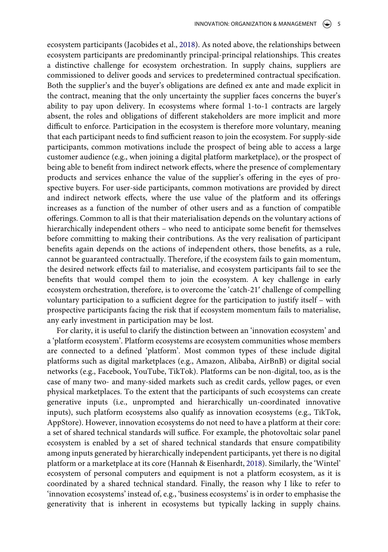ecosystem participants (Jacobides et al., [2018](#page-12-12)). As noted above, the relationships between ecosystem participants are predominantly principal-principal relationships. This creates a distinctive challenge for ecosystem orchestration. In supply chains, suppliers are commissioned to deliver goods and services to predetermined contractual specification. Both the supplier's and the buyer's obligations are defined ex ante and made explicit in the contract, meaning that the only uncertainty the supplier faces concerns the buyer's ability to pay upon delivery. In ecosystems where formal 1-to-1 contracts are largely absent, the roles and obligations of different stakeholders are more implicit and more difficult to enforce. Participation in the ecosystem is therefore more voluntary, meaning that each participant needs to find sufficient reason to join the ecosystem. For supply-side participants, common motivations include the prospect of being able to access a large customer audience (e.g., when joining a digital platform marketplace), or the prospect of being able to benefit from indirect network effects, where the presence of complementary products and services enhance the value of the supplier's offering in the eyes of prospective buyers. For user-side participants, common motivations are provided by direct and indirect network effects, where the use value of the platform and its offerings increases as a function of the number of other users and as a function of compatible offerings. Common to all is that their materialisation depends on the voluntary actions of hierarchically independent others – who need to anticipate some benefit for themselves before committing to making their contributions. As the very realisation of participant benefits again depends on the actions of independent others, those benefits, as a rule, cannot be guaranteed contractually. Therefore, if the ecosystem fails to gain momentum, the desired network effects fail to materialise, and ecosystem participants fail to see the benefits that would compel them to join the ecosystem. A key challenge in early ecosystem orchestration, therefore, is to overcome the 'catch-21ʹ challenge of compelling voluntary participation to a sufficient degree for the participation to justify itself – with prospective participants facing the risk that if ecosystem momentum fails to materialise, any early investment in participation may be lost.

For clarity, it is useful to clarify the distinction between an 'innovation ecosystem' and a 'platform ecosystem'. Platform ecosystems are ecosystem communities whose members are connected to a defined 'platform'. Most common types of these include digital platforms such as digital marketplaces (e.g., Amazon, Alibaba, AirBnB) or digital social networks (e.g., Facebook, YouTube, TikTok). Platforms can be non-digital, too, as is the case of many two- and many-sided markets such as credit cards, yellow pages, or even physical marketplaces. To the extent that the participants of such ecosystems can create generative inputs (i.e., unprompted and hierarchically un-coordinated innovative inputs), such platform ecosystems also qualify as innovation ecosystems (e.g., TikTok, AppStore). However, innovation ecosystems do not need to have a platform at their core: a set of shared technical standards will suffice. For example, the photovoltaic solar panel ecosystem is enabled by a set of shared technical standards that ensure compatibility among inputs generated by hierarchically independent participants, yet there is no digital platform or a marketplace at its core (Hannah & Eisenhardt, [2018](#page-12-1)). Similarly, the 'Wintel' ecosystem of personal computers and equipment is not a platform ecosystem, as it is coordinated by a shared technical standard. Finally, the reason why I like to refer to 'innovation ecosystems' instead of, e.g., 'business ecosystems' is in order to emphasise the generativity that is inherent in ecosystems but typically lacking in supply chains.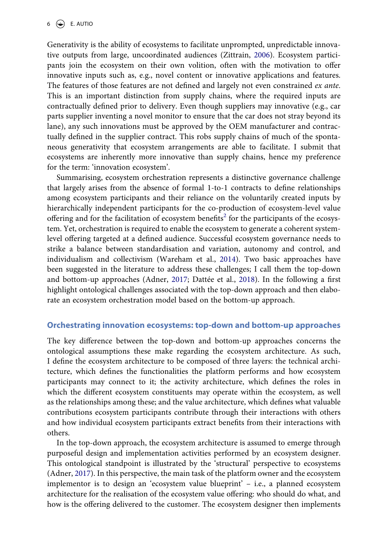Generativity is the ability of ecosystems to facilitate unprompted, unpredictable innovative outputs from large, uncoordinated audiences (Zittrain, [2006](#page-13-9)). Ecosystem participants join the ecosystem on their own volition, often with the motivation to offer innovative inputs such as, e.g., novel content or innovative applications and features. The features of those features are not defined and largely not even constrained *ex ante*. This is an important distinction from supply chains, where the required inputs are contractually defined prior to delivery. Even though suppliers may innovative (e.g., car parts supplier inventing a novel monitor to ensure that the car does not stray beyond its lane), any such innovations must be approved by the OEM manufacturer and contractually defined in the supplier contract. This robs supply chains of much of the spontaneous generativity that ecosystem arrangements are able to facilitate. I submit that ecosystems are inherently more innovative than supply chains, hence my preference for the term: 'innovation ecosystem'.

Summarising, ecosystem orchestration represents a distinctive governance challenge that largely arises from the absence of formal 1-to-1 contracts to define relationships among ecosystem participants and their reliance on the voluntarily created inputs by hierarchically independent participants for the co-production of ecosystem-level value offering and for the facilitation of ecosystem benefits<sup>2</sup> for the participants of the ecosystem. Yet, orchestration is required to enable the ecosystem to generate a coherent systemlevel offering targeted at a defined audience. Successful ecosystem governance needs to strike a balance between standardisation and variation, autonomy and control, and individualism and collectivism (Wareham et al., [2014\)](#page-13-5). Two basic approaches have been suggested in the literature to address these challenges; I call them the top-down and bottom-up approaches (Adner, [2017](#page-12-2); Dattée et al., [2018\)](#page-12-0). In the following a first highlight ontological challenges associated with the top-down approach and then elaborate an ecosystem orchestration model based on the bottom-up approach.

## **Orchestrating innovation ecosystems: top-down and bottom-up approaches**

The key difference between the top-down and bottom-up approaches concerns the ontological assumptions these make regarding the ecosystem architecture. As such, I define the ecosystem architecture to be composed of three layers: the technical architecture, which defines the functionalities the platform performs and how ecosystem participants may connect to it; the activity architecture, which defines the roles in which the different ecosystem constituents may operate within the ecosystem, as well as the relationships among these; and the value architecture, which defines what valuable contributions ecosystem participants contribute through their interactions with others and how individual ecosystem participants extract benefits from their interactions with others.

In the top-down approach, the ecosystem architecture is assumed to emerge through purposeful design and implementation activities performed by an ecosystem designer. This ontological standpoint is illustrated by the 'structural' perspective to ecosystems (Adner, [2017](#page-12-2)). In this perspective, the main task of the platform owner and the ecosystem implementor is to design an 'ecosystem value blueprint' – i.e., a planned ecosystem architecture for the realisation of the ecosystem value offering: who should do what, and how is the offering delivered to the customer. The ecosystem designer then implements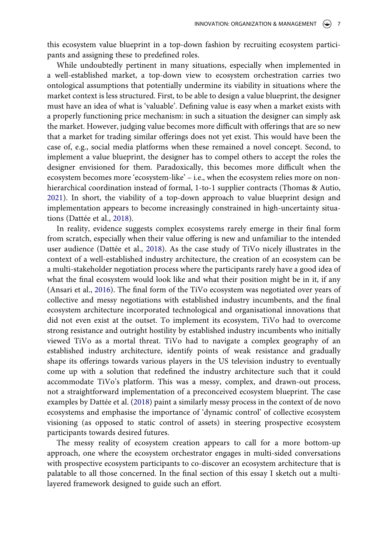this ecosystem value blueprint in a top-down fashion by recruiting ecosystem participants and assigning these to predefined roles.

While undoubtedly pertinent in many situations, especially when implemented in a well-established market, a top-down view to ecosystem orchestration carries two ontological assumptions that potentially undermine its viability in situations where the market context is less structured. First, to be able to design a value blueprint, the designer must have an idea of what is 'valuable'. Defining value is easy when a market exists with a properly functioning price mechanism: in such a situation the designer can simply ask the market. However, judging value becomes more difficult with offerings that are so new that a market for trading similar offerings does not yet exist. This would have been the case of, e.g., social media platforms when these remained a novel concept. Second, to implement a value blueprint, the designer has to compel others to accept the roles the designer envisioned for them. Paradoxically, this becomes more difficult when the ecosystem becomes more 'ecosystem-like' – i.e., when the ecosystem relies more on nonhierarchical coordination instead of formal, 1-to-1 supplier contracts (Thomas & Autio, [2021](#page-13-10)). In short, the viability of a top-down approach to value blueprint design and implementation appears to become increasingly constrained in high-uncertainty situations (Dattée et al., [2018\)](#page-12-0).

<span id="page-6-0"></span>In reality, evidence suggests complex ecosystems rarely emerge in their final form from scratch, especially when their value offering is new and unfamiliar to the intended user audience (Dattée et al., [2018\)](#page-12-0). As the case study of TiVo nicely illustrates in the context of a well-established industry architecture, the creation of an ecosystem can be a multi-stakeholder negotiation process where the participants rarely have a good idea of what the final ecosystem would look like and what their position might be in it, if any (Ansari et al., [2016](#page-12-4)). The final form of the TiVo ecosystem was negotiated over years of collective and messy negotiations with established industry incumbents, and the final ecosystem architecture incorporated technological and organisational innovations that did not even exist at the outset. To implement its ecosystem, TiVo had to overcome strong resistance and outright hostility by established industry incumbents who initially viewed TiVo as a mortal threat. TiVo had to navigate a complex geography of an established industry architecture, identify points of weak resistance and gradually shape its offerings towards various players in the US television industry to eventually come up with a solution that redefined the industry architecture such that it could accommodate TiVo's platform. This was a messy, complex, and drawn-out process, not a straightforward implementation of a preconceived ecosystem blueprint. The case examples by Dattée et al. ([2018](#page-12-0)) paint a similarly messy process in the context of de novo ecosystems and emphasise the importance of 'dynamic control' of collective ecosystem visioning (as opposed to static control of assets) in steering prospective ecosystem participants towards desired futures.

The messy reality of ecosystem creation appears to call for a more bottom-up approach, one where the ecosystem orchestrator engages in multi-sided conversations with prospective ecosystem participants to co-discover an ecosystem architecture that is palatable to all those concerned. In the final section of this essay I sketch out a multilayered framework designed to guide such an effort.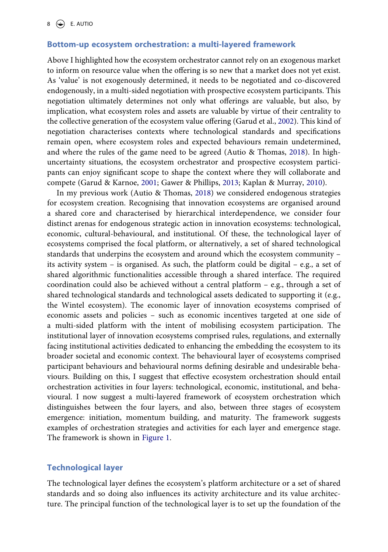### **Bottom-up ecosystem orchestration: a multi-layered framework**

<span id="page-7-1"></span>Above I highlighted how the ecosystem orchestrator cannot rely on an exogenous market to inform on resource value when the offering is so new that a market does not yet exist. As 'value' is not exogenously determined, it needs to be negotiated and co-discovered endogenously, in a multi-sided negotiation with prospective ecosystem participants. This negotiation ultimately determines not only what offerings are valuable, but also, by implication, what ecosystem roles and assets are valuable by virtue of their centrality to the collective generation of the ecosystem value offering (Garud et al., [2002\)](#page-12-15). This kind of negotiation characterises contexts where technological standards and specifications remain open, where ecosystem roles and expected behaviours remain undetermined, and where the rules of the game need to be agreed (Autio & Thomas, [2018](#page-12-3)). In highuncertainty situations, the ecosystem orchestrator and prospective ecosystem participants can enjoy significant scope to shape the context where they will collaborate and compete (Garud & Karnoe, [2001;](#page-12-16) Gawer & Phillips, [2013](#page-12-17); Kaplan & Murray, [2010\)](#page-12-18).

<span id="page-7-0"></span>In my previous work (Autio & Thomas, [2018](#page-12-3)) we considered endogenous strategies for ecosystem creation. Recognising that innovation ecosystems are organised around a shared core and characterised by hierarchical interdependence, we consider four distinct arenas for endogenous strategic action in innovation ecosystems: technological, economic, cultural-behavioural, and institutional. Of these, the technological layer of ecosystems comprised the focal platform, or alternatively, a set of shared technological standards that underpins the ecosystem and around which the ecosystem community – its activity system – is organised. As such, the platform could be digital – e.g., a set of shared algorithmic functionalities accessible through a shared interface. The required coordination could also be achieved without a central platform – e.g., through a set of shared technological standards and technological assets dedicated to supporting it (e.g., the Wintel ecosystem). The economic layer of innovation ecosystems comprised of economic assets and policies – such as economic incentives targeted at one side of a multi-sided platform with the intent of mobilising ecosystem participation. The institutional layer of innovation ecosystems comprised rules, regulations, and externally facing institutional activities dedicated to enhancing the embedding the ecosystem to its broader societal and economic context. The behavioural layer of ecosystems comprised participant behaviours and behavioural norms defining desirable and undesirable behaviours. Building on this, I suggest that effective ecosystem orchestration should entail orchestration activities in four layers: technological, economic, institutional, and behavioural. I now suggest a multi-layered framework of ecosystem orchestration which distinguishes between the four layers, and also, between three stages of ecosystem emergence: initiation, momentum building, and maturity. The framework suggests examples of orchestration strategies and activities for each layer and emergence stage. The framework is shown in [Figure 1.](#page-8-0)

# **Technological layer**

The technological layer defines the ecosystem's platform architecture or a set of shared standards and so doing also influences its activity architecture and its value architecture. The principal function of the technological layer is to set up the foundation of the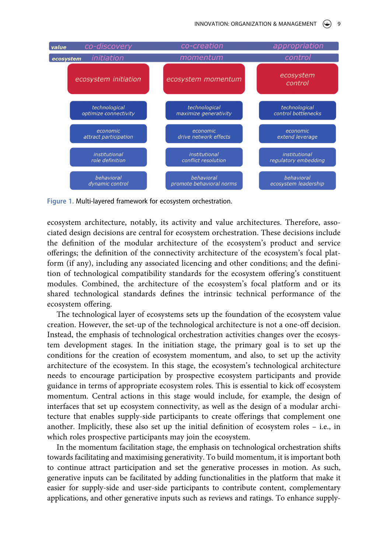<span id="page-8-0"></span>

**Figure 1.** Multi-layered framework for ecosystem orchestration.

ecosystem architecture, notably, its activity and value architectures. Therefore, associated design decisions are central for ecosystem orchestration. These decisions include the definition of the modular architecture of the ecosystem's product and service offerings; the definition of the connectivity architecture of the ecosystem's focal platform (if any), including any associated licencing and other conditions; and the definition of technological compatibility standards for the ecosystem offering's constituent modules. Combined, the architecture of the ecosystem's focal platform and or its shared technological standards defines the intrinsic technical performance of the ecosystem offering.

The technological layer of ecosystems sets up the foundation of the ecosystem value creation. However, the set-up of the technological architecture is not a one-off decision. Instead, the emphasis of technological orchestration activities changes over the ecosystem development stages. In the initiation stage, the primary goal is to set up the conditions for the creation of ecosystem momentum, and also, to set up the activity architecture of the ecosystem. In this stage, the ecosystem's technological architecture needs to encourage participation by prospective ecosystem participants and provide guidance in terms of appropriate ecosystem roles. This is essential to kick off ecosystem momentum. Central actions in this stage would include, for example, the design of interfaces that set up ecosystem connectivity, as well as the design of a modular architecture that enables supply-side participants to create offerings that complement one another. Implicitly, these also set up the initial definition of ecosystem roles – i.e., in which roles prospective participants may join the ecosystem.

In the momentum facilitation stage, the emphasis on technological orchestration shifts towards facilitating and maximising generativity. To build momentum, it is important both to continue attract participation and set the generative processes in motion. As such, generative inputs can be facilitated by adding functionalities in the platform that make it easier for supply-side and user-side participants to contribute content, complementary applications, and other generative inputs such as reviews and ratings. To enhance supply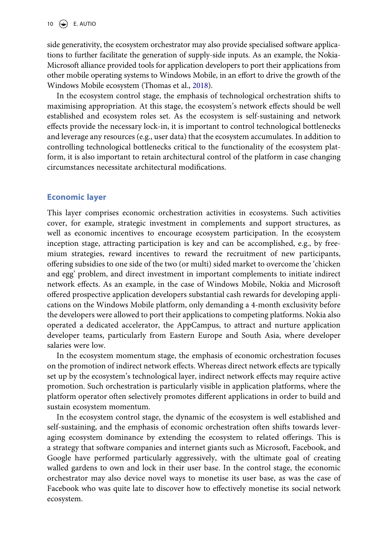10  $\left(\bigstar\right)$  E. AUTIO

side generativity, the ecosystem orchestrator may also provide specialised software applications to further facilitate the generation of supply-side inputs. As an example, the Nokia-Microsoft alliance provided tools for application developers to port their applications from other mobile operating systems to Windows Mobile, in an effort to drive the growth of the Windows Mobile ecosystem (Thomas et al., [2018\)](#page-13-11).

<span id="page-9-0"></span>In the ecosystem control stage, the emphasis of technological orchestration shifts to maximising appropriation. At this stage, the ecosystem's network effects should be well established and ecosystem roles set. As the ecosystem is self-sustaining and network effects provide the necessary lock-in, it is important to control technological bottlenecks and leverage any resources (e.g., user data) that the ecosystem accumulates. In addition to controlling technological bottlenecks critical to the functionality of the ecosystem platform, it is also important to retain architectural control of the platform in case changing circumstances necessitate architectural modifications.

# **Economic layer**

This layer comprises economic orchestration activities in ecosystems. Such activities cover, for example, strategic investment in complements and support structures, as well as economic incentives to encourage ecosystem participation. In the ecosystem inception stage, attracting participation is key and can be accomplished, e.g., by freemium strategies, reward incentives to reward the recruitment of new participants, offering subsidies to one side of the two (or multi) sided market to overcome the 'chicken and egg' problem, and direct investment in important complements to initiate indirect network effects. As an example, in the case of Windows Mobile, Nokia and Microsoft offered prospective application developers substantial cash rewards for developing applications on the Windows Mobile platform, only demanding a 4-month exclusivity before the developers were allowed to port their applications to competing platforms. Nokia also operated a dedicated accelerator, the AppCampus, to attract and nurture application developer teams, particularly from Eastern Europe and South Asia, where developer salaries were low.

In the ecosystem momentum stage, the emphasis of economic orchestration focuses on the promotion of indirect network effects. Whereas direct network effects are typically set up by the ecosystem's technological layer, indirect network effects may require active promotion. Such orchestration is particularly visible in application platforms, where the platform operator often selectively promotes different applications in order to build and sustain ecosystem momentum.

In the ecosystem control stage, the dynamic of the ecosystem is well established and self-sustaining, and the emphasis of economic orchestration often shifts towards leveraging ecosystem dominance by extending the ecosystem to related offerings. This is a strategy that software companies and internet giants such as Microsoft, Facebook, and Google have performed particularly aggressively, with the ultimate goal of creating walled gardens to own and lock in their user base. In the control stage, the economic orchestrator may also device novel ways to monetise its user base, as was the case of Facebook who was quite late to discover how to effectively monetise its social network ecosystem.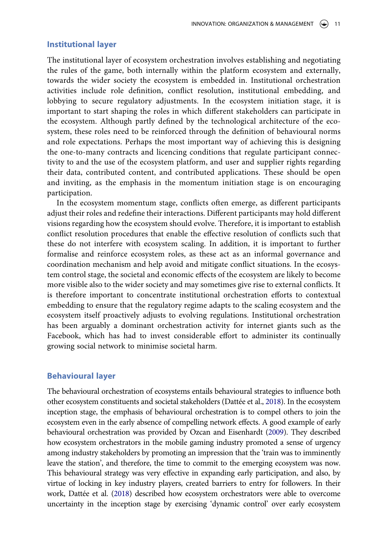#### **Institutional layer**

The institutional layer of ecosystem orchestration involves establishing and negotiating the rules of the game, both internally within the platform ecosystem and externally, towards the wider society the ecosystem is embedded in. Institutional orchestration activities include role definition, conflict resolution, institutional embedding, and lobbying to secure regulatory adjustments. In the ecosystem initiation stage, it is important to start shaping the roles in which different stakeholders can participate in the ecosystem. Although partly defined by the technological architecture of the ecosystem, these roles need to be reinforced through the definition of behavioural norms and role expectations. Perhaps the most important way of achieving this is designing the one-to-many contracts and licencing conditions that regulate participant connectivity to and the use of the ecosystem platform, and user and supplier rights regarding their data, contributed content, and contributed applications. These should be open and inviting, as the emphasis in the momentum initiation stage is on encouraging participation.

In the ecosystem momentum stage, conflicts often emerge, as different participants adjust their roles and redefine their interactions. Different participants may hold different visions regarding how the ecosystem should evolve. Therefore, it is important to establish conflict resolution procedures that enable the effective resolution of conflicts such that these do not interfere with ecosystem scaling. In addition, it is important to further formalise and reinforce ecosystem roles, as these act as an informal governance and coordination mechanism and help avoid and mitigate conflict situations. In the ecosystem control stage, the societal and economic effects of the ecosystem are likely to become more visible also to the wider society and may sometimes give rise to external conflicts. It is therefore important to concentrate institutional orchestration efforts to contextual embedding to ensure that the regulatory regime adapts to the scaling ecosystem and the ecosystem itself proactively adjusts to evolving regulations. Institutional orchestration has been arguably a dominant orchestration activity for internet giants such as the Facebook, which has had to invest considerable effort to administer its continually growing social network to minimise societal harm.

### **Behavioural layer**

The behavioural orchestration of ecosystems entails behavioural strategies to influence both other ecosystem constituents and societal stakeholders (Dattée et al., [2018](#page-12-0)). In the ecosystem inception stage, the emphasis of behavioural orchestration is to compel others to join the ecosystem even in the early absence of compelling network effects. A good example of early behavioural orchestration was provided by Ozcan and Eisenhardt [\(2009\)](#page-13-1). They described how ecosystem orchestrators in the mobile gaming industry promoted a sense of urgency among industry stakeholders by promoting an impression that the 'train was to imminently leave the station', and therefore, the time to commit to the emerging ecosystem was now. This behavioural strategy was very effective in expanding early participation, and also, by virtue of locking in key industry players, created barriers to entry for followers. In their work, Dattée et al. [\(2018](#page-12-0)) described how ecosystem orchestrators were able to overcome uncertainty in the inception stage by exercising 'dynamic control' over early ecosystem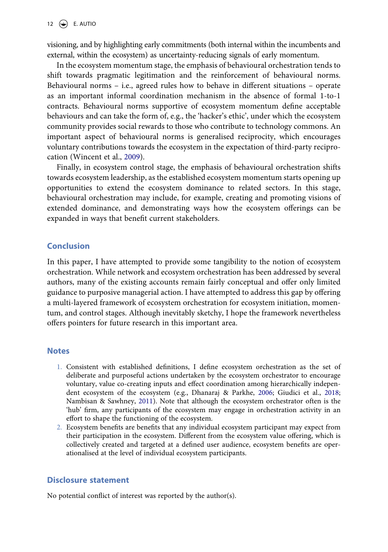visioning, and by highlighting early commitments (both internal within the incumbents and external, within the ecosystem) as uncertainty-reducing signals of early momentum.

In the ecosystem momentum stage, the emphasis of behavioural orchestration tends to shift towards pragmatic legitimation and the reinforcement of behavioural norms. Behavioural norms – i.e., agreed rules how to behave in different situations – operate as an important informal coordination mechanism in the absence of formal 1-to-1 contracts. Behavioural norms supportive of ecosystem momentum define acceptable behaviours and can take the form of, e.g., the 'hacker's ethic', under which the ecosystem community provides social rewards to those who contribute to technology commons. An important aspect of behavioural norms is generalised reciprocity, which encourages voluntary contributions towards the ecosystem in the expectation of third-party reciprocation (Wincent et al., [2009](#page-13-12)).

<span id="page-11-2"></span>Finally, in ecosystem control stage, the emphasis of behavioural orchestration shifts towards ecosystem leadership, as the established ecosystem momentum starts opening up opportunities to extend the ecosystem dominance to related sectors. In this stage, behavioural orchestration may include, for example, creating and promoting visions of extended dominance, and demonstrating ways how the ecosystem offerings can be expanded in ways that benefit current stakeholders.

# **Conclusion**

In this paper, I have attempted to provide some tangibility to the notion of ecosystem orchestration. While network and ecosystem orchestration has been addressed by several authors, many of the existing accounts remain fairly conceptual and offer only limited guidance to purposive managerial action. I have attempted to address this gap by offering a multi-layered framework of ecosystem orchestration for ecosystem initiation, momentum, and control stages. Although inevitably sketchy, I hope the framework nevertheless offers pointers for future research in this important area.

## **Notes**

- <span id="page-11-0"></span>1. Consistent with established definitions, I define ecosystem orchestration as the set of deliberate and purposeful actions undertaken by the ecosystem orchestrator to encourage voluntary, value co-creating inputs and effect coordination among hierarchically independent ecosystem of the ecosystem (e.g., Dhanaraj & Parkhe, [2006;](#page-12-6) Giudici et al., [2018](#page-12-8); Nambisan & Sawhney, [2011](#page-12-7)). Note that although the ecosystem orchestrator often is the 'hub' firm, any participants of the ecosystem may engage in orchestration activity in an effort to shape the functioning of the ecosystem.
- <span id="page-11-1"></span>2. Ecosystem benefits are benefits that any individual ecosystem participant may expect from their participation in the ecosystem. Different from the ecosystem value offering, which is collectively created and targeted at a defined user audience, ecosystem benefits are operationalised at the level of individual ecosystem participants.

#### **Disclosure statement**

No potential conflict of interest was reported by the author(s).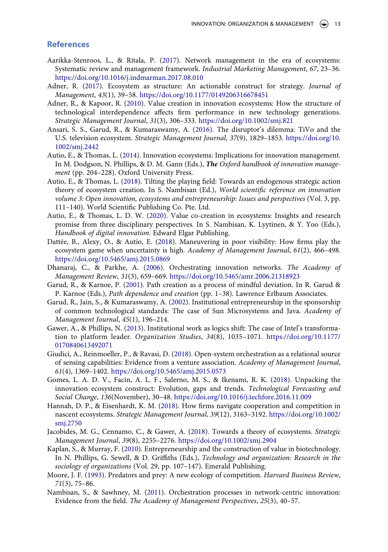### **References**

- <span id="page-12-13"></span>Aarikka-Stenroos, L., & Ritala, P. [\(2017\)](#page-2-0). Network management in the era of ecosystems: Systematic review and management framework. *Industrial Marketing Management*, *67*, 23–36. <https://doi.org/10.1016/j.indmarman.2017.08.010>
- <span id="page-12-2"></span>Adner, R. [\(2017](#page-0-0)). Ecosystem as structure: An actionable construct for strategy. *Journal of Management*, *43*(1), 39–58. <https://doi.org/10.1177/0149206316678451>
- <span id="page-12-10"></span>Adner, R., & Kapoor, R. [\(2010](#page-2-1)). Value creation in innovation ecosystems: How the structure of technological interdependence affects firm performance in new technology generations. *Strategic Management Journal*, *31*(3), 306–333. <https://doi.org/10.1002/smj.821>
- <span id="page-12-4"></span>Ansari, S. S., Garud, R., & Kumaraswamy, A. [\(2016\)](#page-1-0). The disruptor's dilemma: TiVo and the U.S. television ecosystem. *Strategic Management Journal*, *37*(9), 1829–1853. [https://doi.org/10.](https://doi.org/10.1002/smj.2442) [1002/smj.2442](https://doi.org/10.1002/smj.2442)
- <span id="page-12-11"></span>Autio, E., & Thomas, L. ([2014](#page-2-1)). Innovation ecosystems: Implications for innovation management. In M. Dodgson, N. Phillips, & D. M. Gann (Eds.), *The Oxford handbook of innovation management* (pp. 204–228). Oxford University Press.
- <span id="page-12-3"></span>Autio, E., & Thomas, L. [\(2018](#page-0-0)). Tilting the playing field: Towards an endogenous strategic action theory of ecosystem creation. In S. Nambisan (Ed.), *World scientific reference on innovation*  volume 3: Open innovation, ecosystems and entrepreneurship: Issues and perspectives (Vol. 3, pp. 111–140). World Scientific Publishing Co. Pte. Ltd.
- <span id="page-12-5"></span>Autio, E., & Thomas, L. D. W. ([2020](#page-1-1)). Value co-creation in ecosystems: Insights and research promise from three disciplinary perspectives. In S. Nambisan, K. Lyytinen, & Y. Yoo (Eds.), *Handbook of digital innovation*. Edward Elgar Publishing.
- <span id="page-12-0"></span>Dattée, B., Alexy, O., & Autio, E. ([2018](#page-0-1)). Maneuvering in poor visibility: How firms play the ecosystem game when uncertainty is high. *Academy of Management Journal*, *61*(2), 466–498. <https://doi.org/10.5465/amj.2015.0869>
- <span id="page-12-6"></span>Dhanaraj, C., & Parkhe, A. ([2006\)](#page-1-2). Orchestrating innovation networks. *The Academy of Management Review*, *31*(3), 659–669. <https://doi.org/10.5465/amr.2006.21318923>
- <span id="page-12-16"></span>Garud, R., & Karnoe, P. [\(2001](#page-7-0)). Path creation as a process of mindful deviation. In R. Garud & P. Karnoe (Eds.), *Path dependence and creation* (pp. 1–38). Lawrence Erlbaum Associates.
- <span id="page-12-15"></span>Garud, R., Jain, S., & Kumaraswamy, A. ([2002](#page-7-1)). Institutional entrepreneurship in the sponsorship of common technological standards: The case of Sun Microsystems and Java. *Academy of Management Journal*, *45*(1), 196–214.
- <span id="page-12-17"></span>Gawer, A., & Phillips, N. [\(2013](#page-7-0)). Institutional work as logics shift: The case of Intel's transformation to platform leader. *Organization Studies*, *34*(8), 1035–1071. [https://doi.org/10.1177/](https://doi.org/10.1177/0170840613492071) [0170840613492071](https://doi.org/10.1177/0170840613492071)
- <span id="page-12-8"></span>Giudici, A., Reinmoeller, P., & Ravasi, D. ([2018\)](#page-1-3). Open-system orchestration as a relational source of sensing capabilities: Evidence from a venture association. *Academy of Management Journal*, *61*(4), 1369–1402. <https://doi.org/10.5465/amj.2015.0573>
- <span id="page-12-14"></span>Gomes, L. A. D. V., Facin, A. L. F., Salerno, M. S., & Ikenami, R. K. [\(2018\)](#page-2-0). Unpacking the innovation ecosystem construct: Evolution, gaps and trends. *Technological Forecasting and Social Change*, *136*(November), 30–48. <https://doi.org/10.1016/j.techfore.2016.11.009>
- <span id="page-12-1"></span>Hannah, D. P., & Eisenhardt, K. M. ([2018\)](#page-0-1). How firms navigate cooperation and competition in nascent ecosystems. *Strategic Management Journal*, *39*(12), 3163–3192. [https://doi.org/10.1002/](https://doi.org/10.1002/smj.2750) [smj.2750](https://doi.org/10.1002/smj.2750)
- <span id="page-12-12"></span>Jacobides, M. G., Cennamo, C., & Gawer, A. ([2018\)](#page-2-1). Towards a theory of ecosystems. *Strategic Management Journal*, *39*(8), 2255–2276. <https://doi.org/10.1002/smj.2904>
- <span id="page-12-18"></span>Kaplan, S., & Murray, F. ([2010\)](#page-7-0). Entrepreneurship and the construction of value in biotechnology. In N. Phillips, G. Sewell, & D. Griffiths (Eds.), *Technology and organization: Research in the sociology of organizations* (Vol. 29, pp. 107–147). Emerald Publishing.
- <span id="page-12-9"></span>Moore, J. F. [\(1993](#page-2-2)). Predators and prey: A new ecology of competition. *Harvard Business Review*, *71*(3), 75–86.
- <span id="page-12-7"></span>Nambisan, S., & Sawhney, M. [\(2011](#page-1-4)). Orchestration processes in network-centric innovation: Evidence from the field. *The Academy of Management Perspectives*, *25*(3), 40–57.